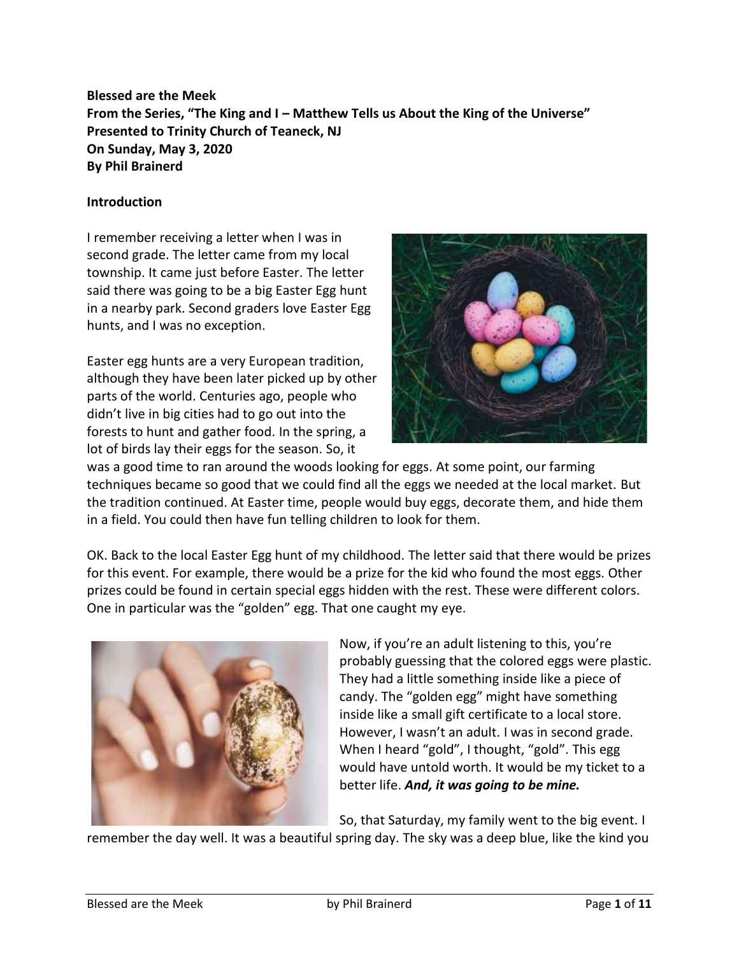**Blessed are the Meek From the Series, "The King and I – Matthew Tells us About the King of the Universe" Presented to Trinity Church of Teaneck, NJ On Sunday, May 3, 2020 By Phil Brainerd**

#### **Introduction**

I remember receiving a letter when I was in second grade. The letter came from my local township. It came just before Easter. The letter said there was going to be a big Easter Egg hunt in a nearby park. Second graders love Easter Egg hunts, and I was no exception.

Easter egg hunts are a very European tradition, although they have been later picked up by other parts of the world. Centuries ago, people who didn't live in big cities had to go out into the forests to hunt and gather food. In the spring, a lot of birds lay their eggs for the season. So, it



was a good time to ran around the woods looking for eggs. At some point, our farming techniques became so good that we could find all the eggs we needed at the local market. But the tradition continued. At Easter time, people would buy eggs, decorate them, and hide them in a field. You could then have fun telling children to look for them.

OK. Back to the local Easter Egg hunt of my childhood. The letter said that there would be prizes for this event. For example, there would be a prize for the kid who found the most eggs. Other prizes could be found in certain special eggs hidden with the rest. These were different colors. One in particular was the "golden" egg. That one caught my eye.



Now, if you're an adult listening to this, you're probably guessing that the colored eggs were plastic. They had a little something inside like a piece of candy. The "golden egg" might have something inside like a small gift certificate to a local store. However, I wasn't an adult. I was in second grade. When I heard "gold", I thought, "gold". This egg would have untold worth. It would be my ticket to a better life. *And, it was going to be mine.*

So, that Saturday, my family went to the big event. I

remember the day well. It was a beautiful spring day. The sky was a deep blue, like the kind you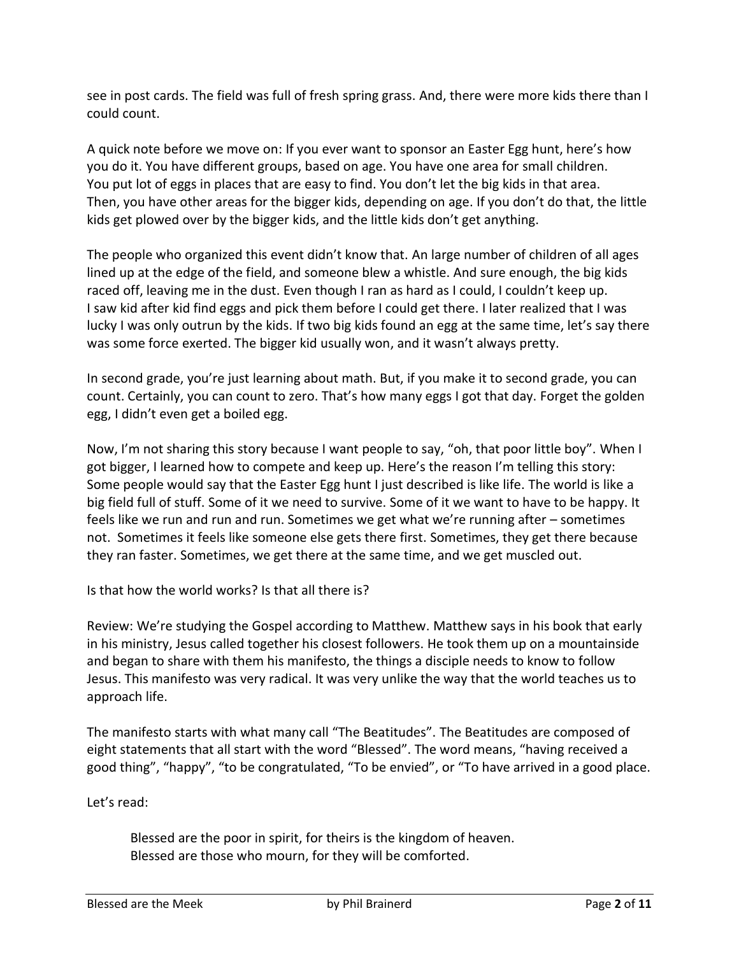see in post cards. The field was full of fresh spring grass. And, there were more kids there than I could count.

A quick note before we move on: If you ever want to sponsor an Easter Egg hunt, here's how you do it. You have different groups, based on age. You have one area for small children. You put lot of eggs in places that are easy to find. You don't let the big kids in that area. Then, you have other areas for the bigger kids, depending on age. If you don't do that, the little kids get plowed over by the bigger kids, and the little kids don't get anything.

The people who organized this event didn't know that. An large number of children of all ages lined up at the edge of the field, and someone blew a whistle. And sure enough, the big kids raced off, leaving me in the dust. Even though I ran as hard as I could, I couldn't keep up. I saw kid after kid find eggs and pick them before I could get there. I later realized that I was lucky I was only outrun by the kids. If two big kids found an egg at the same time, let's say there was some force exerted. The bigger kid usually won, and it wasn't always pretty.

In second grade, you're just learning about math. But, if you make it to second grade, you can count. Certainly, you can count to zero. That's how many eggs I got that day. Forget the golden egg, I didn't even get a boiled egg.

Now, I'm not sharing this story because I want people to say, "oh, that poor little boy". When I got bigger, I learned how to compete and keep up. Here's the reason I'm telling this story: Some people would say that the Easter Egg hunt I just described is like life. The world is like a big field full of stuff. Some of it we need to survive. Some of it we want to have to be happy. It feels like we run and run and run. Sometimes we get what we're running after – sometimes not. Sometimes it feels like someone else gets there first. Sometimes, they get there because they ran faster. Sometimes, we get there at the same time, and we get muscled out.

Is that how the world works? Is that all there is?

Review: We're studying the Gospel according to Matthew. Matthew says in his book that early in his ministry, Jesus called together his closest followers. He took them up on a mountainside and began to share with them his manifesto, the things a disciple needs to know to follow Jesus. This manifesto was very radical. It was very unlike the way that the world teaches us to approach life.

The manifesto starts with what many call "The Beatitudes". The Beatitudes are composed of eight statements that all start with the word "Blessed". The word means, "having received a good thing", "happy", "to be congratulated, "To be envied", or "To have arrived in a good place.

Let's read:

Blessed are the poor in spirit, for theirs is the kingdom of heaven. Blessed are those who mourn, for they will be comforted.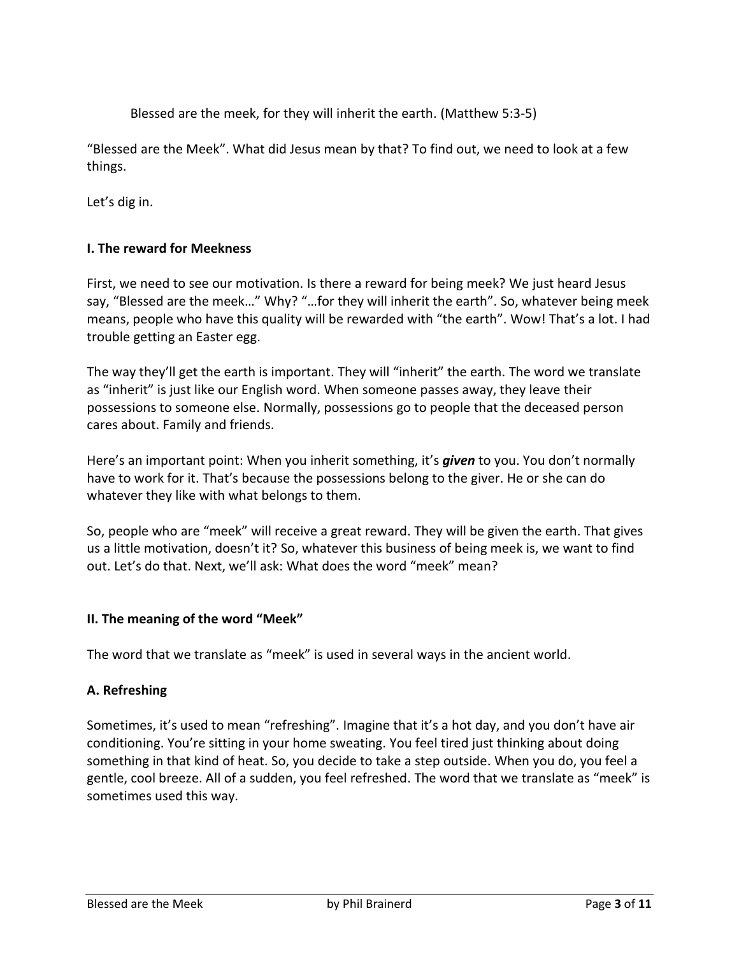Blessed are the meek, for they will inherit the earth. (Matthew 5:3-5)

"Blessed are the Meek". What did Jesus mean by that? To find out, we need to look at a few things.

Let's dig in.

### **I. The reward for Meekness**

First, we need to see our motivation. Is there a reward for being meek? We just heard Jesus say, "Blessed are the meek…" Why? "…for they will inherit the earth". So, whatever being meek means, people who have this quality will be rewarded with "the earth". Wow! That's a lot. I had trouble getting an Easter egg.

The way they'll get the earth is important. They will "inherit" the earth. The word we translate as "inherit" is just like our English word. When someone passes away, they leave their possessions to someone else. Normally, possessions go to people that the deceased person cares about. Family and friends.

Here's an important point: When you inherit something, it's *given* to you. You don't normally have to work for it. That's because the possessions belong to the giver. He or she can do whatever they like with what belongs to them.

So, people who are "meek" will receive a great reward. They will be given the earth. That gives us a little motivation, doesn't it? So, whatever this business of being meek is, we want to find out. Let's do that. Next, we'll ask: What does the word "meek" mean?

#### **II. The meaning of the word "Meek"**

The word that we translate as "meek" is used in several ways in the ancient world.

#### **A. Refreshing**

Sometimes, it's used to mean "refreshing". Imagine that it's a hot day, and you don't have air conditioning. You're sitting in your home sweating. You feel tired just thinking about doing something in that kind of heat. So, you decide to take a step outside. When you do, you feel a gentle, cool breeze. All of a sudden, you feel refreshed. The word that we translate as "meek" is sometimes used this way.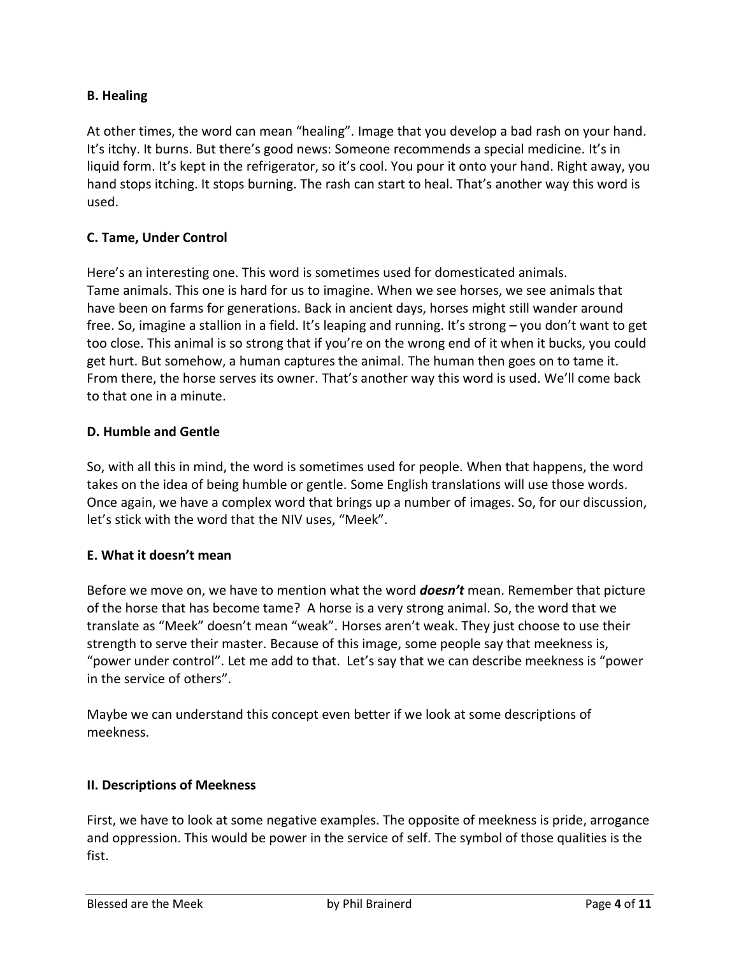# **B. Healing**

At other times, the word can mean "healing". Image that you develop a bad rash on your hand. It's itchy. It burns. But there's good news: Someone recommends a special medicine. It's in liquid form. It's kept in the refrigerator, so it's cool. You pour it onto your hand. Right away, you hand stops itching. It stops burning. The rash can start to heal. That's another way this word is used.

### **C. Tame, Under Control**

Here's an interesting one. This word is sometimes used for domesticated animals. Tame animals. This one is hard for us to imagine. When we see horses, we see animals that have been on farms for generations. Back in ancient days, horses might still wander around free. So, imagine a stallion in a field. It's leaping and running. It's strong – you don't want to get too close. This animal is so strong that if you're on the wrong end of it when it bucks, you could get hurt. But somehow, a human captures the animal. The human then goes on to tame it. From there, the horse serves its owner. That's another way this word is used. We'll come back to that one in a minute.

### **D. Humble and Gentle**

So, with all this in mind, the word is sometimes used for people. When that happens, the word takes on the idea of being humble or gentle. Some English translations will use those words. Once again, we have a complex word that brings up a number of images. So, for our discussion, let's stick with the word that the NIV uses, "Meek".

#### **E. What it doesn't mean**

Before we move on, we have to mention what the word *doesn't* mean. Remember that picture of the horse that has become tame? A horse is a very strong animal. So, the word that we translate as "Meek" doesn't mean "weak". Horses aren't weak. They just choose to use their strength to serve their master. Because of this image, some people say that meekness is, "power under control". Let me add to that. Let's say that we can describe meekness is "power in the service of others".

Maybe we can understand this concept even better if we look at some descriptions of meekness.

#### **II. Descriptions of Meekness**

First, we have to look at some negative examples. The opposite of meekness is pride, arrogance and oppression. This would be power in the service of self. The symbol of those qualities is the fist.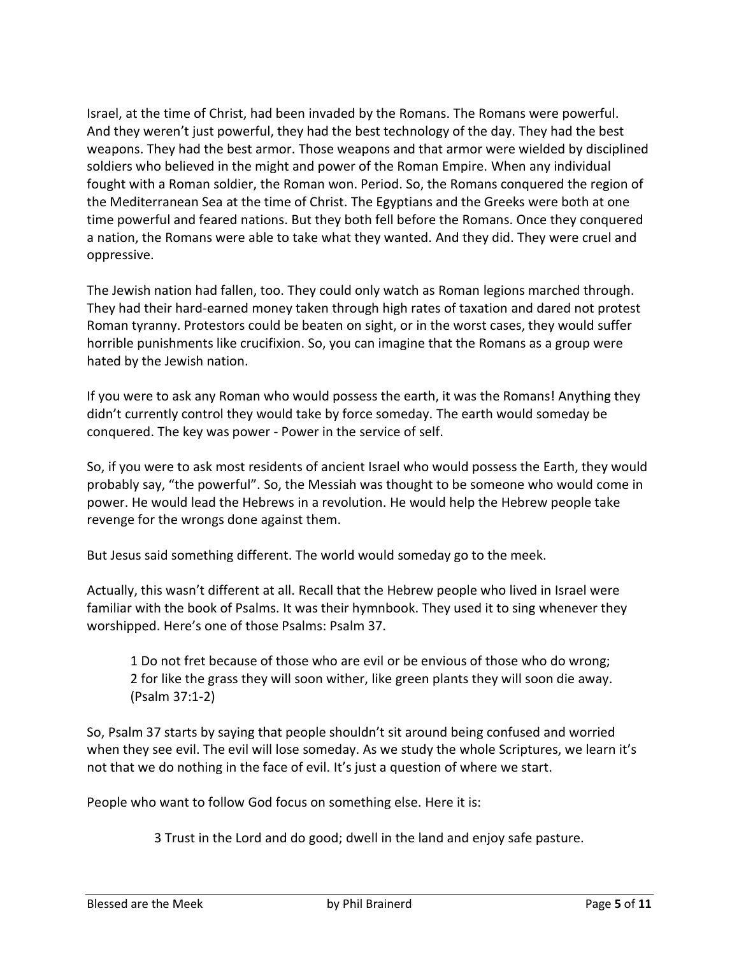Israel, at the time of Christ, had been invaded by the Romans. The Romans were powerful. And they weren't just powerful, they had the best technology of the day. They had the best weapons. They had the best armor. Those weapons and that armor were wielded by disciplined soldiers who believed in the might and power of the Roman Empire. When any individual fought with a Roman soldier, the Roman won. Period. So, the Romans conquered the region of the Mediterranean Sea at the time of Christ. The Egyptians and the Greeks were both at one time powerful and feared nations. But they both fell before the Romans. Once they conquered a nation, the Romans were able to take what they wanted. And they did. They were cruel and oppressive.

The Jewish nation had fallen, too. They could only watch as Roman legions marched through. They had their hard-earned money taken through high rates of taxation and dared not protest Roman tyranny. Protestors could be beaten on sight, or in the worst cases, they would suffer horrible punishments like crucifixion. So, you can imagine that the Romans as a group were hated by the Jewish nation.

If you were to ask any Roman who would possess the earth, it was the Romans! Anything they didn't currently control they would take by force someday. The earth would someday be conquered. The key was power - Power in the service of self.

So, if you were to ask most residents of ancient Israel who would possess the Earth, they would probably say, "the powerful". So, the Messiah was thought to be someone who would come in power. He would lead the Hebrews in a revolution. He would help the Hebrew people take revenge for the wrongs done against them.

But Jesus said something different. The world would someday go to the meek.

Actually, this wasn't different at all. Recall that the Hebrew people who lived in Israel were familiar with the book of Psalms. It was their hymnbook. They used it to sing whenever they worshipped. Here's one of those Psalms: Psalm 37.

1 Do not fret because of those who are evil or be envious of those who do wrong; 2 for like the grass they will soon wither, like green plants they will soon die away. (Psalm 37:1-2)

So, Psalm 37 starts by saying that people shouldn't sit around being confused and worried when they see evil. The evil will lose someday. As we study the whole Scriptures, we learn it's not that we do nothing in the face of evil. It's just a question of where we start.

People who want to follow God focus on something else. Here it is:

3 Trust in the Lord and do good; dwell in the land and enjoy safe pasture.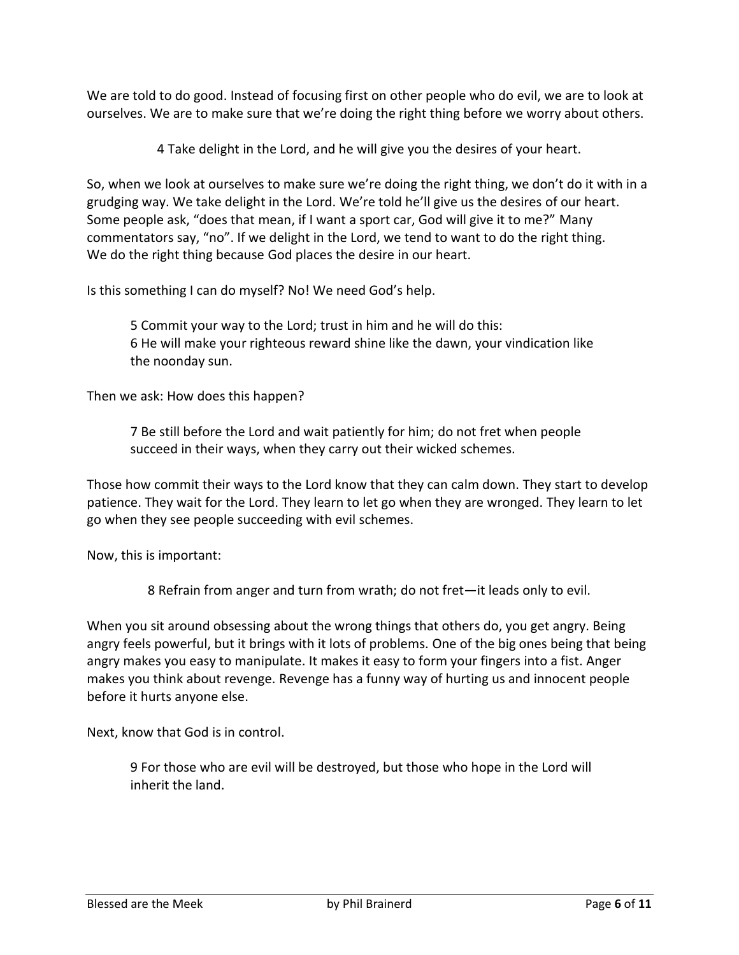We are told to do good. Instead of focusing first on other people who do evil, we are to look at ourselves. We are to make sure that we're doing the right thing before we worry about others.

4 Take delight in the Lord, and he will give you the desires of your heart.

So, when we look at ourselves to make sure we're doing the right thing, we don't do it with in a grudging way. We take delight in the Lord. We're told he'll give us the desires of our heart. Some people ask, "does that mean, if I want a sport car, God will give it to me?" Many commentators say, "no". If we delight in the Lord, we tend to want to do the right thing. We do the right thing because God places the desire in our heart.

Is this something I can do myself? No! We need God's help.

5 Commit your way to the Lord; trust in him and he will do this: 6 He will make your righteous reward shine like the dawn, your vindication like the noonday sun.

Then we ask: How does this happen?

7 Be still before the Lord and wait patiently for him; do not fret when people succeed in their ways, when they carry out their wicked schemes.

Those how commit their ways to the Lord know that they can calm down. They start to develop patience. They wait for the Lord. They learn to let go when they are wronged. They learn to let go when they see people succeeding with evil schemes.

Now, this is important:

8 Refrain from anger and turn from wrath; do not fret—it leads only to evil.

When you sit around obsessing about the wrong things that others do, you get angry. Being angry feels powerful, but it brings with it lots of problems. One of the big ones being that being angry makes you easy to manipulate. It makes it easy to form your fingers into a fist. Anger makes you think about revenge. Revenge has a funny way of hurting us and innocent people before it hurts anyone else.

Next, know that God is in control.

9 For those who are evil will be destroyed, but those who hope in the Lord will inherit the land.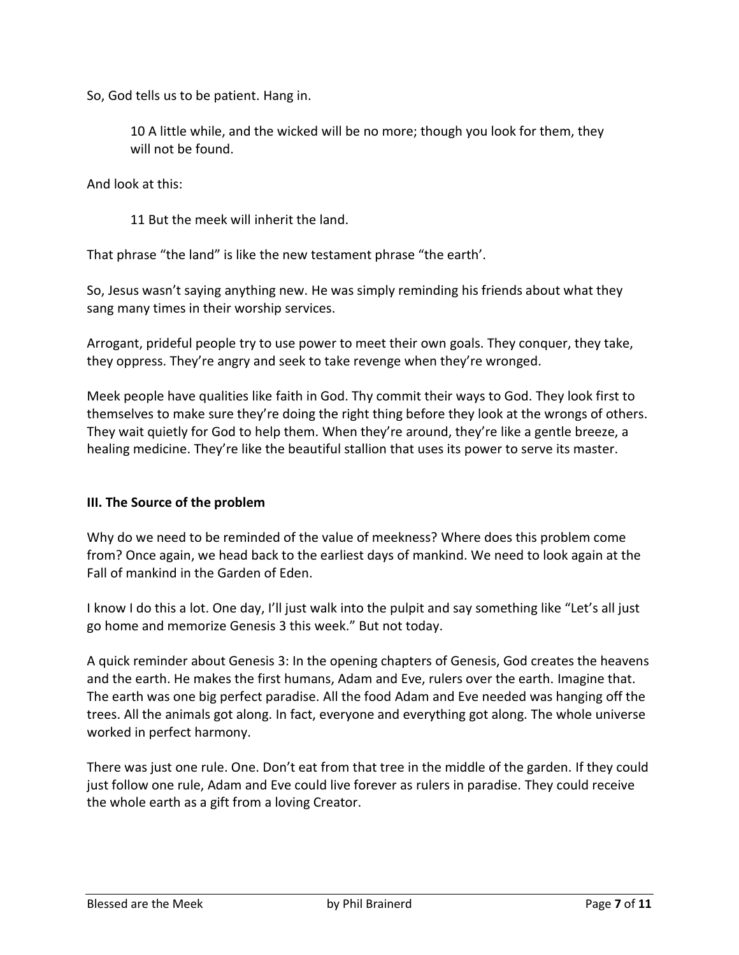So, God tells us to be patient. Hang in.

10 A little while, and the wicked will be no more; though you look for them, they will not be found.

And look at this:

11 But the meek will inherit the land.

That phrase "the land" is like the new testament phrase "the earth'.

So, Jesus wasn't saying anything new. He was simply reminding his friends about what they sang many times in their worship services.

Arrogant, prideful people try to use power to meet their own goals. They conquer, they take, they oppress. They're angry and seek to take revenge when they're wronged.

Meek people have qualities like faith in God. Thy commit their ways to God. They look first to themselves to make sure they're doing the right thing before they look at the wrongs of others. They wait quietly for God to help them. When they're around, they're like a gentle breeze, a healing medicine. They're like the beautiful stallion that uses its power to serve its master.

#### **III. The Source of the problem**

Why do we need to be reminded of the value of meekness? Where does this problem come from? Once again, we head back to the earliest days of mankind. We need to look again at the Fall of mankind in the Garden of Eden.

I know I do this a lot. One day, I'll just walk into the pulpit and say something like "Let's all just go home and memorize Genesis 3 this week." But not today.

A quick reminder about Genesis 3: In the opening chapters of Genesis, God creates the heavens and the earth. He makes the first humans, Adam and Eve, rulers over the earth. Imagine that. The earth was one big perfect paradise. All the food Adam and Eve needed was hanging off the trees. All the animals got along. In fact, everyone and everything got along. The whole universe worked in perfect harmony.

There was just one rule. One. Don't eat from that tree in the middle of the garden. If they could just follow one rule, Adam and Eve could live forever as rulers in paradise. They could receive the whole earth as a gift from a loving Creator.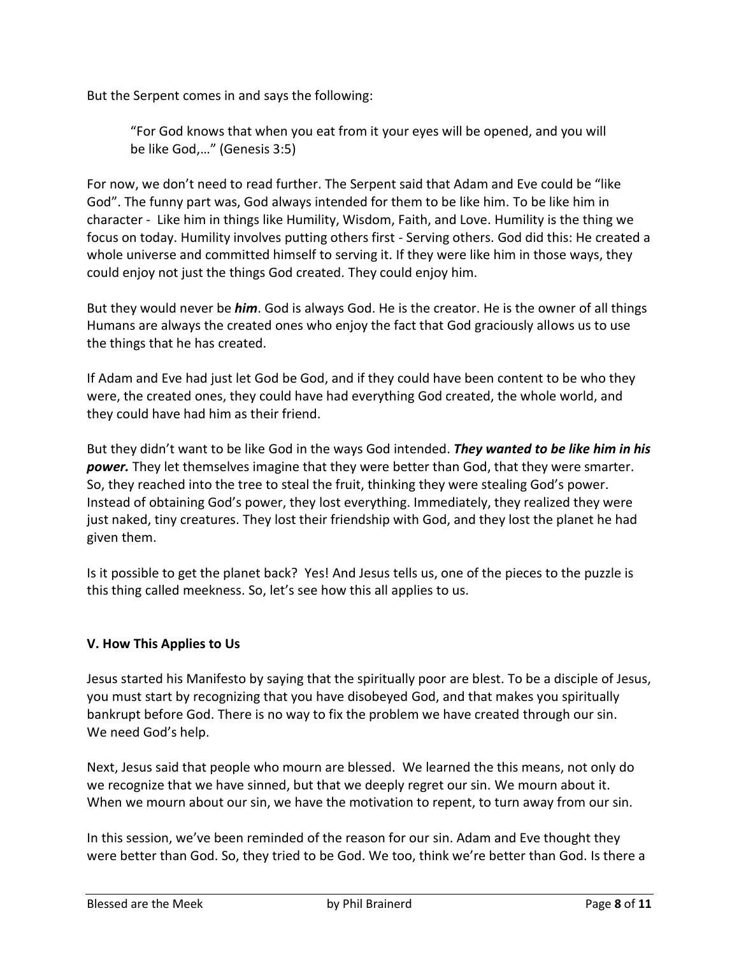But the Serpent comes in and says the following:

"For God knows that when you eat from it your eyes will be opened, and you will be like God,…" (Genesis 3:5)

For now, we don't need to read further. The Serpent said that Adam and Eve could be "like God". The funny part was, God always intended for them to be like him. To be like him in character - Like him in things like Humility, Wisdom, Faith, and Love. Humility is the thing we focus on today. Humility involves putting others first - Serving others. God did this: He created a whole universe and committed himself to serving it. If they were like him in those ways, they could enjoy not just the things God created. They could enjoy him.

But they would never be *him*. God is always God. He is the creator. He is the owner of all things Humans are always the created ones who enjoy the fact that God graciously allows us to use the things that he has created.

If Adam and Eve had just let God be God, and if they could have been content to be who they were, the created ones, they could have had everything God created, the whole world, and they could have had him as their friend.

But they didn't want to be like God in the ways God intended. *They wanted to be like him in his power.* They let themselves imagine that they were better than God, that they were smarter. So, they reached into the tree to steal the fruit, thinking they were stealing God's power. Instead of obtaining God's power, they lost everything. Immediately, they realized they were just naked, tiny creatures. They lost their friendship with God, and they lost the planet he had given them.

Is it possible to get the planet back? Yes! And Jesus tells us, one of the pieces to the puzzle is this thing called meekness. So, let's see how this all applies to us.

# **V. How This Applies to Us**

Jesus started his Manifesto by saying that the spiritually poor are blest. To be a disciple of Jesus, you must start by recognizing that you have disobeyed God, and that makes you spiritually bankrupt before God. There is no way to fix the problem we have created through our sin. We need God's help.

Next, Jesus said that people who mourn are blessed. We learned the this means, not only do we recognize that we have sinned, but that we deeply regret our sin. We mourn about it. When we mourn about our sin, we have the motivation to repent, to turn away from our sin.

In this session, we've been reminded of the reason for our sin. Adam and Eve thought they were better than God. So, they tried to be God. We too, think we're better than God. Is there a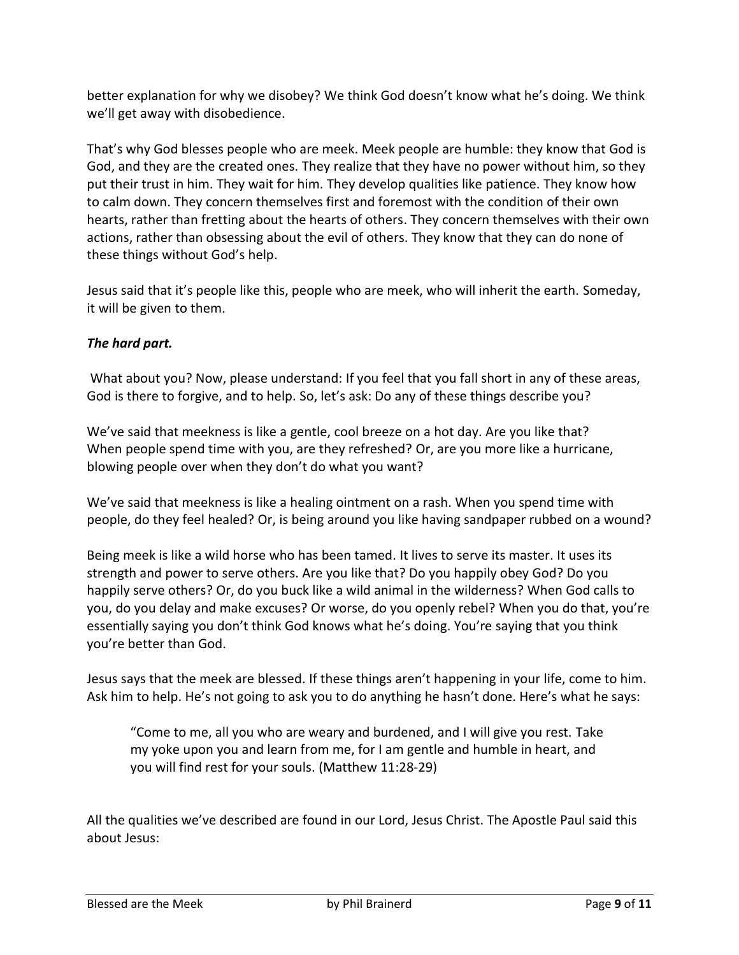better explanation for why we disobey? We think God doesn't know what he's doing. We think we'll get away with disobedience.

That's why God blesses people who are meek. Meek people are humble: they know that God is God, and they are the created ones. They realize that they have no power without him, so they put their trust in him. They wait for him. They develop qualities like patience. They know how to calm down. They concern themselves first and foremost with the condition of their own hearts, rather than fretting about the hearts of others. They concern themselves with their own actions, rather than obsessing about the evil of others. They know that they can do none of these things without God's help.

Jesus said that it's people like this, people who are meek, who will inherit the earth. Someday, it will be given to them.

# *The hard part.*

What about you? Now, please understand: If you feel that you fall short in any of these areas, God is there to forgive, and to help. So, let's ask: Do any of these things describe you?

We've said that meekness is like a gentle, cool breeze on a hot day. Are you like that? When people spend time with you, are they refreshed? Or, are you more like a hurricane, blowing people over when they don't do what you want?

We've said that meekness is like a healing ointment on a rash. When you spend time with people, do they feel healed? Or, is being around you like having sandpaper rubbed on a wound?

Being meek is like a wild horse who has been tamed. It lives to serve its master. It uses its strength and power to serve others. Are you like that? Do you happily obey God? Do you happily serve others? Or, do you buck like a wild animal in the wilderness? When God calls to you, do you delay and make excuses? Or worse, do you openly rebel? When you do that, you're essentially saying you don't think God knows what he's doing. You're saying that you think you're better than God.

Jesus says that the meek are blessed. If these things aren't happening in your life, come to him. Ask him to help. He's not going to ask you to do anything he hasn't done. Here's what he says:

"Come to me, all you who are weary and burdened, and I will give you rest. Take my yoke upon you and learn from me, for I am gentle and humble in heart, and you will find rest for your souls. (Matthew 11:28-29)

All the qualities we've described are found in our Lord, Jesus Christ. The Apostle Paul said this about Jesus: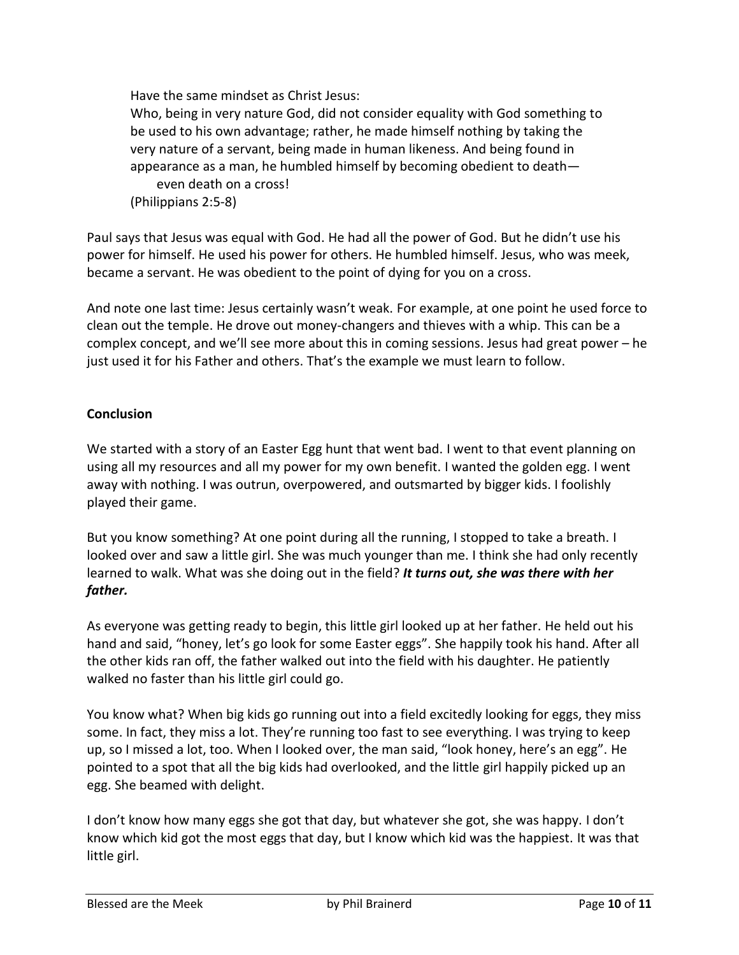Have the same mindset as Christ Jesus: Who, being in very nature God, did not consider equality with God something to be used to his own advantage; rather, he made himself nothing by taking the very nature of a servant, being made in human likeness. And being found in appearance as a man, he humbled himself by becoming obedient to death even death on a cross! (Philippians 2:5-8)

Paul says that Jesus was equal with God. He had all the power of God. But he didn't use his power for himself. He used his power for others. He humbled himself. Jesus, who was meek, became a servant. He was obedient to the point of dying for you on a cross.

And note one last time: Jesus certainly wasn't weak. For example, at one point he used force to clean out the temple. He drove out money-changers and thieves with a whip. This can be a complex concept, and we'll see more about this in coming sessions. Jesus had great power – he just used it for his Father and others. That's the example we must learn to follow.

# **Conclusion**

We started with a story of an Easter Egg hunt that went bad. I went to that event planning on using all my resources and all my power for my own benefit. I wanted the golden egg. I went away with nothing. I was outrun, overpowered, and outsmarted by bigger kids. I foolishly played their game.

But you know something? At one point during all the running, I stopped to take a breath. I looked over and saw a little girl. She was much younger than me. I think she had only recently learned to walk. What was she doing out in the field? *It turns out, she was there with her father.*

As everyone was getting ready to begin, this little girl looked up at her father. He held out his hand and said, "honey, let's go look for some Easter eggs". She happily took his hand. After all the other kids ran off, the father walked out into the field with his daughter. He patiently walked no faster than his little girl could go.

You know what? When big kids go running out into a field excitedly looking for eggs, they miss some. In fact, they miss a lot. They're running too fast to see everything. I was trying to keep up, so I missed a lot, too. When I looked over, the man said, "look honey, here's an egg". He pointed to a spot that all the big kids had overlooked, and the little girl happily picked up an egg. She beamed with delight.

I don't know how many eggs she got that day, but whatever she got, she was happy. I don't know which kid got the most eggs that day, but I know which kid was the happiest. It was that little girl.